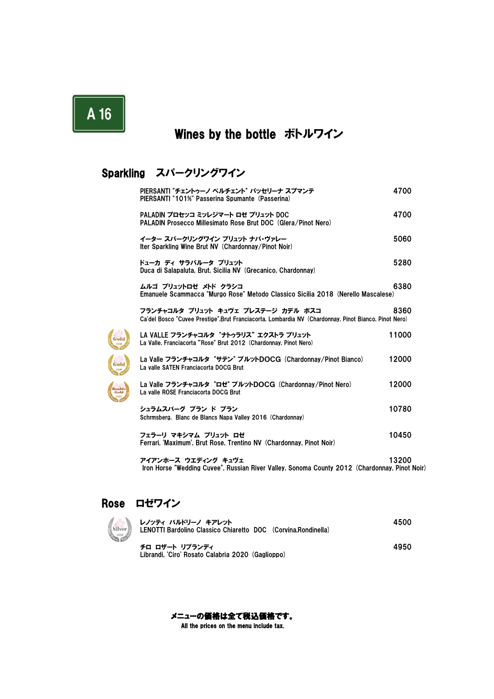# A 16

### Wines by the bottle ボトルワイン

### Sparkling スパークリングワイン

| PIERSANTI "チェントゥーノ ペルチェント" パッセリーナ スプマンテ<br>PIERSANTI "101%" Passerina Spumante (Passerina)                                                 | 4700  |
|--------------------------------------------------------------------------------------------------------------------------------------------|-------|
| PALADIN プロセッコ ミッレジマート ロゼ ブリュット DOC<br>PALADIN Prosecco Millesimato Rose Brut DOC (Glera/Pinot Nero)                                        | 4700  |
| イーター スパークリングワイン ブリュット ナパ・ヴァレー<br>Iter Sparkling Wine Brut NV (Chardonnay/Pinot Noir)                                                       | 5060  |
| ドューカ ディ サラパルータ ブリュット<br>Duca di Salapaluta, Brut, Sicilia NV (Grecanico, Chardonnay)                                                       | 5280  |
| ムルゴ ブリュットロゼ メトド クラシコ<br>Emanuele Scammacca "Murgo Rose" Metodo Classico Sicilia 2018 (Nerello Mascalese)                                   | 6380  |
| フランチャコルタ ブリュット キュヴェ プレステージ カデル ボスコ<br>Ca'del Bosco "Cuvee Prestige".Brut Franciacorta, Lombardia NV (Chardonnay, Pinot Bianco, Pinot Nero) | 8360  |
| LA VALLE フランチャコルタ "ナトゥラリス" エクストラ ブリュット<br>La Valle, Franciacorta "Rose" Brut 2012 (Chardonnay, Pinot Nero)                                 | 11000 |
| La Valle フランチャコルタ "サテン" ブルットDOCG (Chardonnay/Pinot Bianco)<br>La valle SATEN Franciacorta DOCG Brut                                        | 12000 |
| La Valle フランチャコルタ "ロゼ" ブルットDOCG (Chardonnay/Pinot Nero)<br>La valle ROSE Franciacorta DOCG Brut                                            | 12000 |
| シュラムスバーグ ブラン ド ブラン<br>Schrmsberg, Blanc de Blancs Napa Valley 2016 (Chardonnay)                                                            | 10780 |
| フェラーリ マキシマム ブリュット ロゼ<br>Ferrari, 'Maximum', Brut Rose, Trentino NV (Chardonnay, Pinot Noir)                                                | 10450 |
| アイアンホース ウエディング キュヴェ<br>Iron Horse "Wedding Cuvee", Russian River Valley, Sonoma County 2012 (Chardonnay, Pinot Noir)                       | 13200 |

### Rose ロゼワイン

Silver

Gold

Gold

| レノッティ バルドリーノ キアレット<br>LENOTTI Bardolino Classico Chiaretto DOC (Corvina.Rondinella) | 4500 |
|-------------------------------------------------------------------------------------|------|
| チロ ロザート リブランディ<br>Librandi, 'Ciro' Rosato Calabria 2020 (Gaglioppo)                 | 4950 |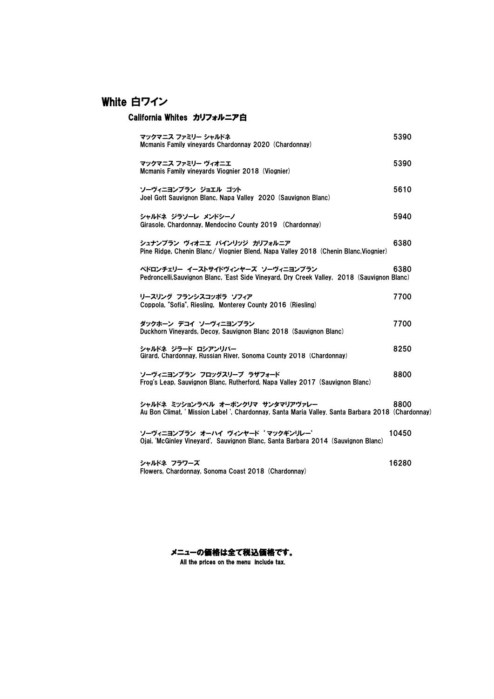### White 白ワイン

### California Whites カリフォルニア白

| マックマニス ファミリー シャルドネ<br>Mcmanis Family vineyards Chardonnay 2020 (Chardonnay)                                                            | 5390  |
|----------------------------------------------------------------------------------------------------------------------------------------|-------|
| マックマニス ファミリー ヴィオニエ<br>Mcmanis Family vineyards Viognier 2018 (Viognier)                                                                | 5390  |
| ソーヴィニヨンブラン ジョエル ゴット<br>Joel Gott Sauvignon Blanc, Napa Valley 2020 (Sauvignon Blanc)                                                   | 5610  |
| シャルドネ ジラソーレ メンドシーノ<br>Girasole, Chardonnay, Mendocino County 2019 (Chardonnay)                                                         | 5940  |
| シュナンブラン ヴィオニエ パインリッジ カリフォルニア<br>Pine Ridge, Chenin Blanc/ Viognier Blend, Napa Valley 2018 (Chenin Blanc, Viognier)                    | 6380  |
| ペドロンチェリー イーストサイドヴィンヤーズ ソーヴィニヨンブラン<br>Pedroncelli.Sauvignon Blanc, 'East Side Vineyard, Dry Creek Valley, 2018 (Sauvignon Blanc)        | 6380  |
| リースリング フランシスコッポラ ソフィア<br>Coppola, "Sofia", Riesling, Monterey County 2016 (Riesling)                                                   | 7700  |
| ダックホーン デコイ ソーヴィニヨンブラン<br>Duckhorn Vineyards, Decoy, Sauvignon Blanc 2018 (Sauvignon Blanc)                                             | 7700  |
| シャルドネ ジラード ロシアンリバー<br>Girard, Chardonnay, Russian River, Sonoma County 2018 (Chardonnay)                                               | 8250  |
| ソーヴィニヨンブラン フロッグスリープ ラザフォード<br>Frog's Leap, Sauvignon Blanc, Rutherford, Napa Valley 2017 (Sauvignon Blanc)                             | 8800  |
| シャルドネ ミッションラベル オーボンクリマ サンタマリアヴァレー<br>Au Bon Climat. ' Mission Label '. Chardonnay. Santa Maria Valley. Santa Barbara 2018 (Chardonnay) | 8800  |
| ソーヴィニヨンブラン オーハイ ヴィンヤード 'マックギンリレー'<br>Ojai. 'McGinley Vineyard'. Sauvignon Blanc. Santa Barbara 2014 (Sauvignon Blanc)                  | 10450 |
| シャルドネ フラワーズ                                                                                                                            | 16280 |

メニューの価格は全て税込価格です。 All the prices on the menu include tax.

Flowers, Chardonnay, Sonoma Coast 2018 (Chardonnay)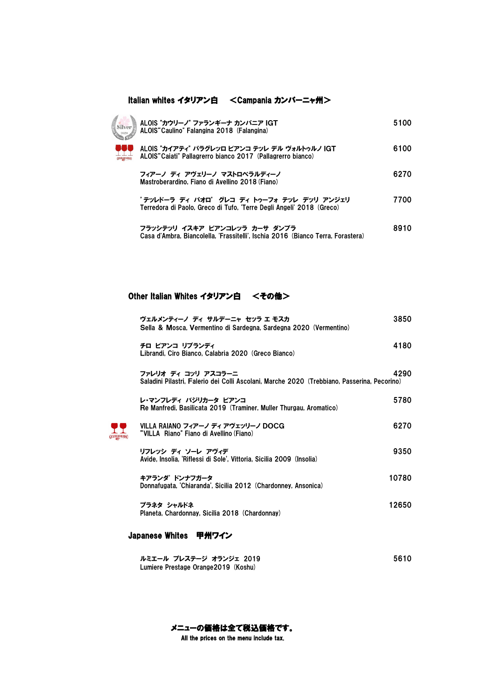#### Italian whites イタリアン白 <Campania カンバーニャ州>



| ALOIS "カウリーノ" ファランギーナ カンパニア IGT<br>ALOIS"Caulino" Falangina 2018 (Falangina)                                       | 5100 |
|--------------------------------------------------------------------------------------------------------------------|------|
| ALOIS "カイアティ" パラグレッロ ビアンコ テッレ デル ヴォルトゥルノ IGT<br>ALOIS"Caiati" Pallagrerro bianco 2017 (Pallagrerro bianco)         | 6100 |
| フィアーノ ディ アヴェリーノ マストロベラルディーノ<br>Mastroberardino. Fiano di Avellino 2018 (Fiano)                                     | 6270 |
| 'テッレドーラ ディ パオロ' グレコ ディ トゥーフォ テッレ デッリ アンジェリ<br>Terredora di Paolo. Greco di Tufo. 'Terre Degli Angeli' 2018 (Greco) | 7700 |

フラッシテッリ イスキア ビアンコレッラ カーサ ダンブラ 8910 Casa d'Ambra, Biancolella, 'Frassitelli', Ischia 2016 (Bianco Terra, Forastera)

#### Other Italian Whites イタリアン白 <その他>

| ヴェルメンティーノ ディ サルデーニャ セッラ エ モスカ<br>Sella & Mosca, Vermentino di Sardegna, Sardegna 2020 (Vermentino)                 | 3850  |
|--------------------------------------------------------------------------------------------------------------------|-------|
| チロ ビアンコ リブランディ<br>Librandi, Ciro Bianco, Calabria 2020 (Greco Bianco)                                              | 4180  |
| ファレリオ ディ コッリ アスコラーニ<br>Saladini Pilastri, Falerio dei Colli Ascolani, Marche 2020 (Trebbiano, Passerina, Pecorino) | 4290  |
| レ・マンフレディ バジリカータ ビアンコ<br>Re Manfredi. Basilicata 2019 (Traminer. Muller Thurgau. Aromatico)                         | 5780  |
| VILLA RAIANO フィアーノ ディ アヴェッリーノ DOCG<br>"VILLA Riano" Fiano di Avellino (Fiano)                                      | 6270  |
| リフレッシ ディ ソーレ アヴィデ<br>Avide, Insolia, 'Riflessi di Sole', Vittoria, Sicilia 2009 (Insolia)                          | 9350  |
| キアランダ ドンナフガータ<br>Donnafugata, 'Chiaranda', Sicilia 2012 (Chardonney, Ansonica)                                     | 10780 |
| プラネタ シャルドネ<br>Planeta, Chardonnay, Sicilia 2018 (Chardonnay)                                                       | 12650 |

#### Japanese Whites 甲州ワイン

| ルミエール プレステージ オランジェ 2019             | 5610 |
|-------------------------------------|------|
| Lumiere Prestage Orange2019 (Koshu) |      |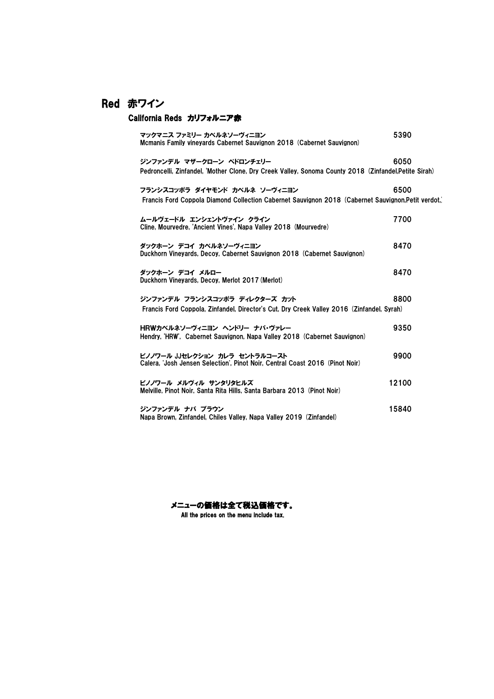### Red 赤ワイン

#### California Reds カリフォルニア赤

| マックマニス ファミリー カベルネソーヴィニヨン<br>Mcmanis Family vineyards Cabernet Sauvignon 2018 (Cabernet Sauvignon)                                  | 5390  |
|------------------------------------------------------------------------------------------------------------------------------------|-------|
| ジンファンデル マザークローン ペドロンチェリー<br>Pedroncelli, Zinfandel, 'Mother Clone, Dry Creek Valley, Sonoma County 2018 (Zinfandel, Petite Sirah)  | 6050  |
| フランシスコッポラ ダイヤモンド カベルネ ソーヴィニヨン<br>Francis Ford Coppola Diamond Collection Cabernet Sauvignon 2018 (Cabernet Sauvignon.Petit verdot. | 6500  |
| ムールヴェードル エンシェントヴァイン クライン<br>Cline, Mourvedre, 'Ancient Vines', Napa Valley 2018 (Mourvedre)                                        | 7700  |
| ダックホーン デコイ カベルネソーヴィニヨン<br>Duckhorn Vinevards, Decov. Cabernet Sauvignon 2018 (Cabernet Sauvignon)                                  | 8470  |
| ダックホーン デコイ メルロー<br>Duckhorn Vineyards, Decoy, Merlot 2017 (Merlot)                                                                 | 8470  |
| ジンファンデル フランシスコッポラ ディレクターズ カット<br>Francis Ford Coppola, Zinfandel, Director's Cut. Dry Creek Valley 2016 (Zinfandel, Syrah)         | 8800  |
| HRWカベルネソーヴィニヨン ヘンドリー ナパ・ヴァレー<br>Hendry, 'HRW'. Cabernet Sauvignon, Napa Valley 2018 (Cabernet Sauvignon)                           | 9350  |
| ピノノワール JJセレクション カレラ セントラルコースト<br>Calera, 'Josh Jensen Selection', Pinot Noir, Central Coast 2016 (Pinot Noir)                      | 9900  |
| ピノノワール メルヴィル サンタリタヒルズ<br>Melville, Pinot Noir, Santa Rita Hills, Santa Barbara 2013 (Pinot Noir)                                   | 12100 |
| ジンファンデル ナパ ブラウン<br>Napa Brown, Zinfandel, Chiles Valley, Napa Valley 2019 (Zinfandel)                                              | 15840 |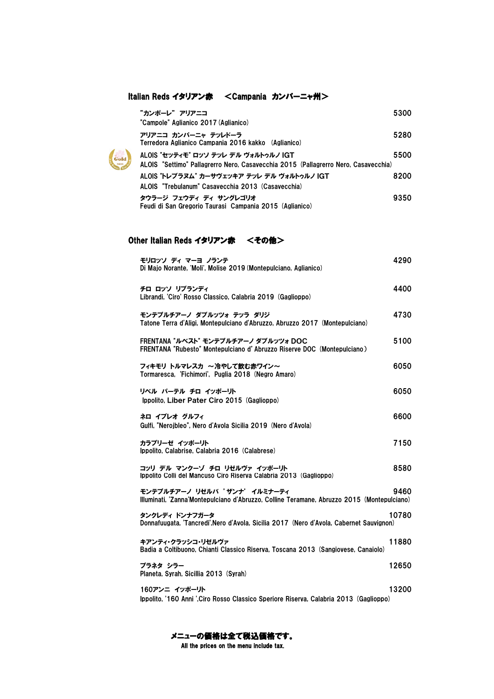#### Italian Reds イタリアン赤 <Campania カンパーニャ州>

| "カンポーレ" アリアニコ<br>"Campole" Aglianico 2017 (Aglianico)                                                                      | 5300 |
|----------------------------------------------------------------------------------------------------------------------------|------|
| アリアニコ カンパーニャ テッレドーラ<br>Terredora Aglianico Campania 2016 kakko (Aglianico)                                                 | 5280 |
| ALOIS "セッティモ" ロッソ テッレ デル ヴォルトゥルノ IGT<br>ALOIS "Settimo" Pallagrerro Nero, Casavecchia 2015 (Pallagrerro Nero, Casavecchia) | 5500 |
| ALOIS "トレブラヌム" カーサヴェッキア テッレ デル ヴォルトゥルノ IGT<br>ALOIS "Trebulanum" Casavecchia 2013 (Casavecchia)                            | 8200 |
| タウラージ フェウディ ディ サングレゴリオ<br>Feudi di San Gregorio Taurasi Campania 2015 (Aglianico)                                          | 9350 |

#### Other Italian Reds イタリアン赤 <その他>

Gold

| モリロッソ ディ マーヨ ノランテ<br>Di Majo Norante, 'Moli', Molise 2019 (Montepulciano, Aglianico)                                       | 4290  |
|----------------------------------------------------------------------------------------------------------------------------|-------|
| チロ ロッソ リブランディ<br>Librandi, 'Ciro' Rosso Classico, Calabria 2019 (Gaglioppo)                                                | 4400  |
| モンテプルチアーノ ダブルッツォ テッラ ダリジ<br>Tatone Terra d'Aligi. Montepulciano d'Abruzzo. Abruzzo 2017 (Montepulciano)                    | 4730  |
| FRENTANA "ルベスト" モンテプルチアーノ ダブルッツォ DOC<br>FRENTANA "Rubesto" Montepulciano d'Abruzzo Riserve DOC (Montepulciano)             | 5100  |
| フィキモリ トルマレスカ ~冷やして飲む赤ワイン~<br>Tormaresca, 'Fichimori', Puglia 2018 (Negro Amaro)                                            | 6050  |
| リベル パーテル チロ イッポーリト<br>Ippolito, Liber Pater Ciro 2015 (Gaglioppo)                                                          | 6050  |
| ネロ イブレオ グルフィ<br>Gulfi, "Nerojbleo", Nero d'Avola Sicilia 2019 (Nero d'Avola)                                               | 6600  |
| カラブリーゼ イッポーリト<br>Ippolito, Calabrise, Calabria 2016 (Calabrese)                                                            | 7150  |
| コッリ デル マンクーゾ チロ リゼルヴァ イッポーリト<br>Ippolito Colli del Mancuso Ciro Riserva Calabria 2013 (Gaglioppo)                          | 8580  |
| モンテプルチアーノ リゼルバ 'ザンナ' イルミナーティ<br>Illuminati, 'Zanna'Montepulciano d'Abruzzo, Colline Teramane, Abruzzo 2015 (Montepulciano) | 9460  |
| タンクレディ ドンナフガータ<br>Donnafuugata, 'Tancredi', Nero d'Avola, Sicilia 2017 (Nero d'Avola, Cabernet Sauvignon)                  | 10780 |
| キアンティ・クラッシコ・リゼルヴァ<br>Badia a Coltibuono, Chianti Classico Riserva, Toscana 2013 (Sangiovese, Canaiolo)                     | 11880 |
| プラネタ シラー<br>Planeta, Syrah, Sicillia 2013 (Syrah)                                                                          | 12650 |
| 160アンニ イッポーリト<br>Ippolito, '160 Anni ',Ciro Rosso Classico Speriore Riserva, Calabria 2013 (Gaglioppo)                     | 13200 |

All the prices on the menu include tax. メニューの価格は全て税込価格です。